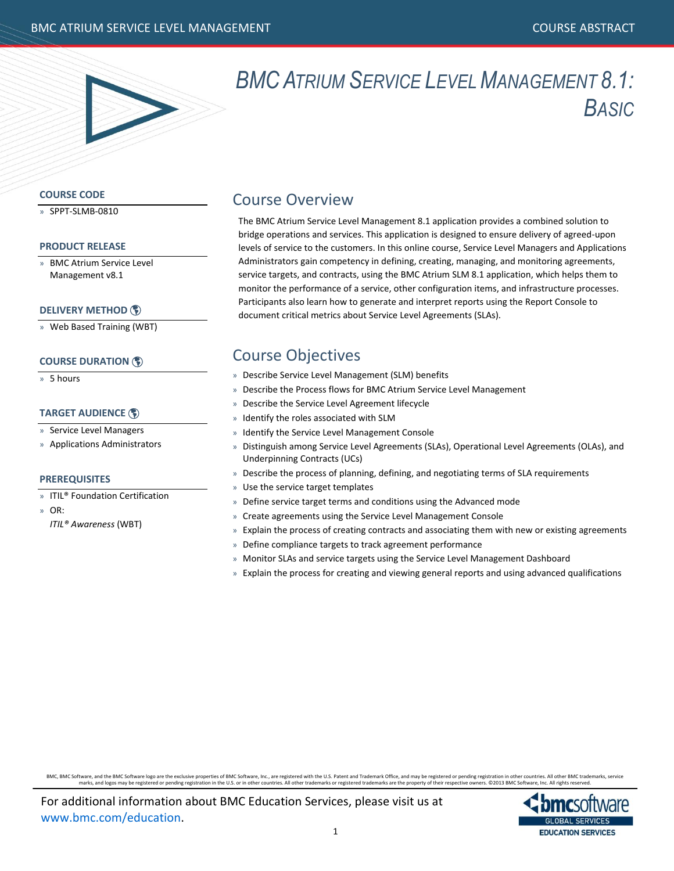

## *BMCATRIUM SERVICE LEVEL MANAGEMENT 8.1: BASIC*

## **COURSE CODE**

» SPPT-SLMB-0810

## **PRODUCT RELEASE**

» BMC Atrium Service Level Management v8.1

## **[DELIVERY METHOD](http://www.bmc.com/education/modality.html)**

» Web Based Training (WBT)

## **[COURSE DURATION](http://www.bmc.com/education/duration.html)**

» 5 hours

## **[TARGET AUDIENCE](http://www.bmc.com/education/learning-paths/service-level-management-training.html)**

- » Service Level Managers
- » Applications Administrators

## **PREREQUISITES**

- » ITIL® Foundation Certification
- » OR:
	- *ITIL® Awareness* (WBT)

## Course Overview

The BMC Atrium Service Level Management 8.1 application provides a combined solution to bridge operations and services. This application is designed to ensure delivery of agreed-upon levels of service to the customers. In this online course, Service Level Managers and Applications Administrators gain competency in defining, creating, managing, and monitoring agreements, service targets, and contracts, using the BMC Atrium SLM 8.1 application, which helps them to monitor the performance of a service, other configuration items, and infrastructure processes. Participants also learn how to generate and interpret reports using the Report Console to document critical metrics about Service Level Agreements (SLAs).

## Course Objectives

- » Describe Service Level Management (SLM) benefits
- » Describe the Process flows for BMC Atrium Service Level Management
- » Describe the Service Level Agreement lifecycle
- » Identify the roles associated with SLM
- » Identify the Service Level Management Console
- » Distinguish among Service Level Agreements (SLAs), Operational Level Agreements (OLAs), and Underpinning Contracts (UCs)
- » Describe the process of planning, defining, and negotiating terms of SLA requirements
- » Use the service target templates
- Define service target terms and conditions using the Advanced mode
- » Create agreements using the Service Level Management Console
- » Explain the process of creating contracts and associating them with new or existing agreements
- » Define compliance targets to track agreement performance
- » Monitor SLAs and service targets using the Service Level Management Dashboard
- » Explain the process for creating and viewing general reports and using advanced qualifications

BMC, BMC Software, and the BMC Software logo are the exclusive properties of BMC Software, Inc., are registered with the U.S. Patent and Trademark office, and may be registered or pending registration in other countries. A